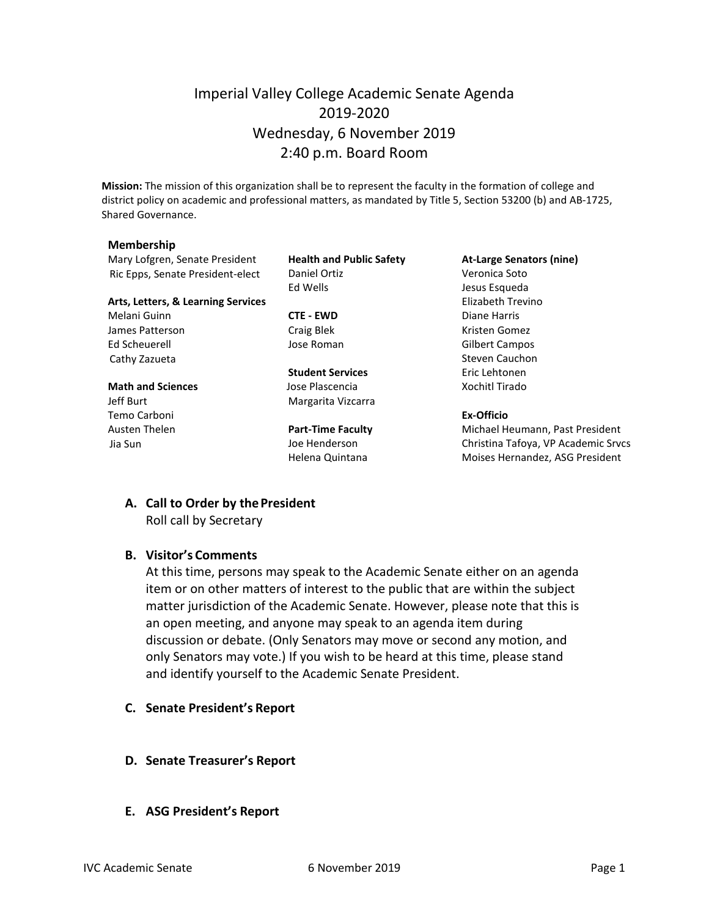## Imperial Valley College Academic Senate Agenda 2019-2020 Wednesday, 6 November 2019 2:40 p.m. Board Room

**Mission:** The mission of this organization shall be to represent the faculty in the formation of college and district policy on academic and professional matters, as mandated by Title 5, Section 53200 (b) and AB-1725, Shared Governance.

#### **Membership**

Mary Lofgren, Senate President **Health and Public Safety At-Large Senators (nine)** Ric Epps, Senate President-elect Daniel Ortiz Christian Muslem Veronica Soto

#### **Arts, Letters, & Learning Services** Elizabeth Trevino

Melani Guinn **CTE - EWD** Diane Harris James Patterson **Craig Blek** Craig Blek Kristen Gomez Ed Scheuerell Jose Roman Gilbert Campos Cathy Zazueta **Steven Cauchon** Steven Cauchon

## **Math and Sciences Contains Islam Jose Plascencia Xochitl Tirado**

Temo Carboni **Ex-Officio**

Ed Wells **Graduate Exception Except** Jesus Esqueda

**Student Services** Eric Lehtonen Jeff Burt **Margarita Vizcarra** 

Austen Thelen **Part-Time Faculty** Michael Heumann, Past President Jia Sun Joe Henderson Christina Tafoya, VP Academic Srvcs Helena Quintana **Moises Hernandez**, ASG President

# **A. Call to Order by thePresident**

Roll call by Secretary

### **B. Visitor's Comments**

At this time, persons may speak to the Academic Senate either on an agenda item or on other matters of interest to the public that are within the subject matter jurisdiction of the Academic Senate. However, please note that this is an open meeting, and anyone may speak to an agenda item during discussion or debate. (Only Senators may move or second any motion, and only Senators may vote.) If you wish to be heard at this time, please stand and identify yourself to the Academic Senate President.

- **C. Senate President's Report**
- **D. Senate Treasurer's Report**
- **E. ASG President's Report**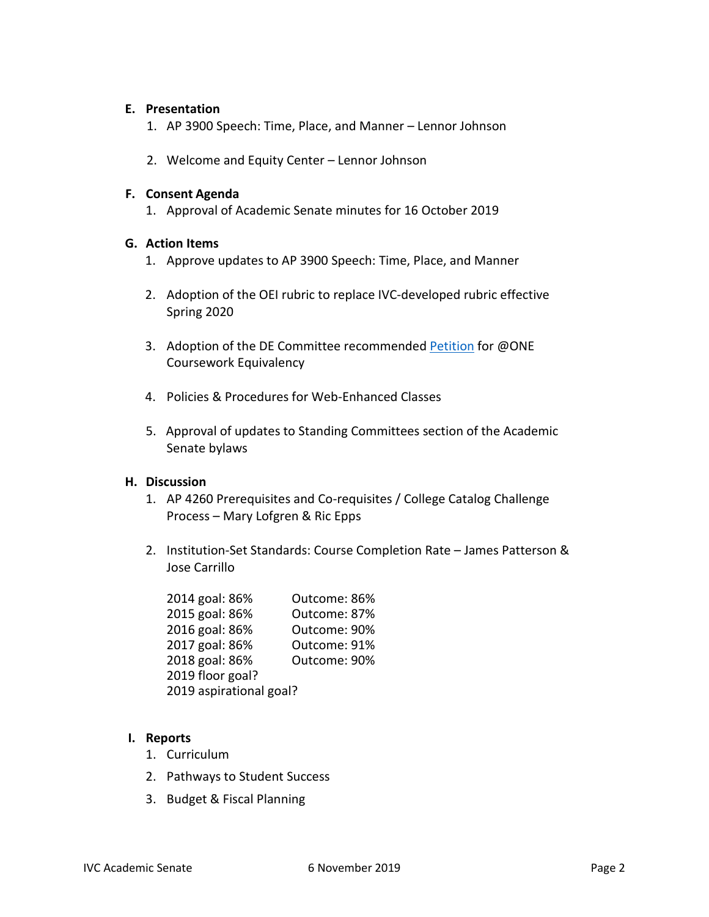#### **E. Presentation**

- 1. AP 3900 Speech: Time, Place, and Manner Lennor Johnson
- 2. Welcome and Equity Center Lennor Johnson

#### **F. Consent Agenda**

1. Approval of Academic Senate minutes for 16 October 2019

#### **G. Action Items**

- 1. Approve updates to AP 3900 Speech: Time, Place, and Manner
- 2. Adoption of the OEI rubric to replace IVC-developed rubric effective Spring 2020
- 3. Adoption of the DE Committee recommended [Petition](https://forms.imperial.edu/view.php?id=416587) for @ONE Coursework Equivalency
- 4. Policies & Procedures for Web-Enhanced Classes
- 5. Approval of updates to Standing Committees section of the Academic Senate bylaws

#### **H. Discussion**

- 1. AP 4260 Prerequisites and Co-requisites / College Catalog Challenge Process – Mary Lofgren & Ric Epps
- 2. Institution-Set Standards: Course Completion Rate James Patterson & Jose Carrillo

| 2014 goal: 86%          | Outcome: 86% |
|-------------------------|--------------|
| 2015 goal: 86%          | Outcome: 87% |
| 2016 goal: 86%          | Outcome: 90% |
| 2017 goal: 86%          | Outcome: 91% |
| 2018 goal: 86%          | Outcome: 90% |
| 2019 floor goal?        |              |
| 2019 aspirational goal? |              |

### **I. Reports**

- 1. Curriculum
- 2. Pathways to Student Success
- 3. Budget & Fiscal Planning